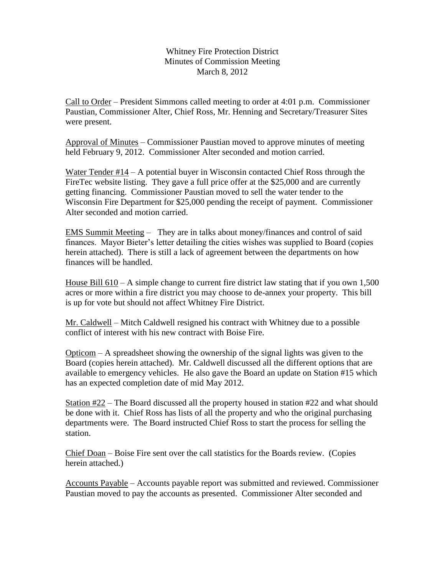Whitney Fire Protection District Minutes of Commission Meeting March 8, 2012

Call to Order – President Simmons called meeting to order at 4:01 p.m. Commissioner Paustian, Commissioner Alter, Chief Ross, Mr. Henning and Secretary/Treasurer Sites were present.

Approval of Minutes – Commissioner Paustian moved to approve minutes of meeting held February 9, 2012. Commissioner Alter seconded and motion carried.

Water Tender #14 – A potential buyer in Wisconsin contacted Chief Ross through the FireTec website listing. They gave a full price offer at the \$25,000 and are currently getting financing. Commissioner Paustian moved to sell the water tender to the Wisconsin Fire Department for \$25,000 pending the receipt of payment. Commissioner Alter seconded and motion carried.

EMS Summit Meeting – They are in talks about money/finances and control of said finances. Mayor Bieter's letter detailing the cities wishes was supplied to Board (copies herein attached). There is still a lack of agreement between the departments on how finances will be handled.

House Bill  $610 - A$  simple change to current fire district law stating that if you own 1,500 acres or more within a fire district you may choose to de-annex your property. This bill is up for vote but should not affect Whitney Fire District.

Mr. Caldwell – Mitch Caldwell resigned his contract with Whitney due to a possible conflict of interest with his new contract with Boise Fire.

Opticom – A spreadsheet showing the ownership of the signal lights was given to the Board (copies herein attached). Mr. Caldwell discussed all the different options that are available to emergency vehicles. He also gave the Board an update on Station #15 which has an expected completion date of mid May 2012.

Station  $\#22$  – The Board discussed all the property housed in station  $\#22$  and what should be done with it. Chief Ross has lists of all the property and who the original purchasing departments were. The Board instructed Chief Ross to start the process for selling the station.

Chief Doan – Boise Fire sent over the call statistics for the Boards review. (Copies herein attached.)

Accounts Payable – Accounts payable report was submitted and reviewed. Commissioner Paustian moved to pay the accounts as presented. Commissioner Alter seconded and